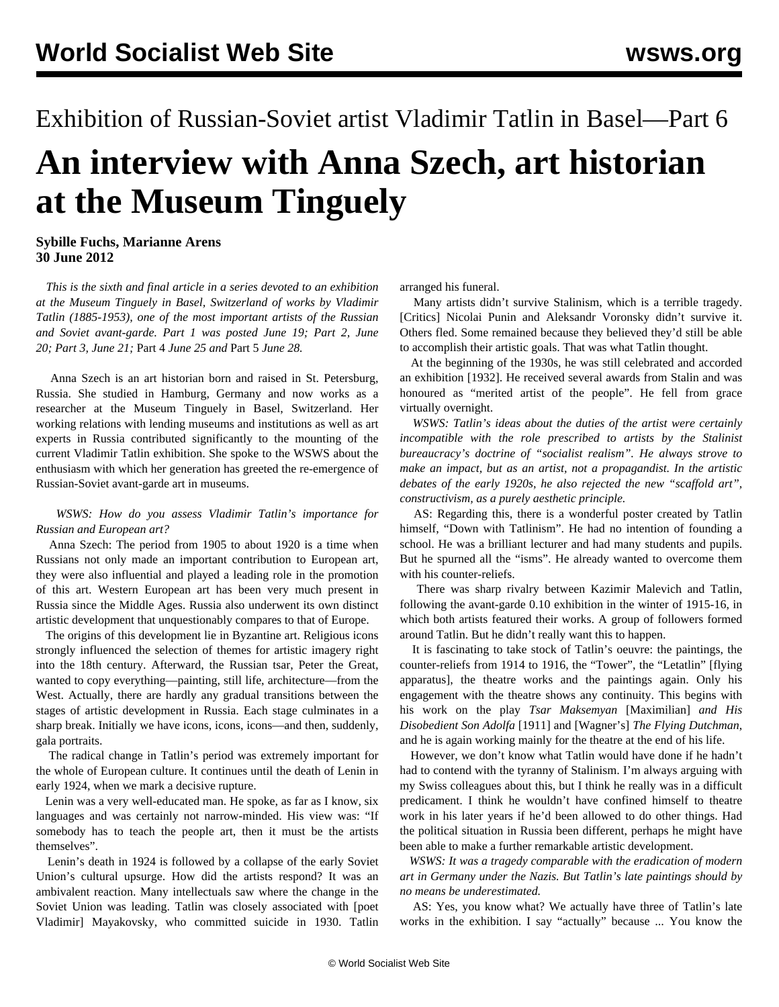## Exhibition of Russian-Soviet artist Vladimir Tatlin in Basel—Part 6 **An interview with Anna Szech, art historian at the Museum Tinguely**

## **Sybille Fuchs, Marianne Arens 30 June 2012**

 *This is the sixth and final article in a series devoted to an exhibition at the Museum Tinguely in Basel, Switzerland of works by Vladimir Tatlin (1885-1953), one of the most important artists of the Russian and Soviet avant-garde. [Part 1](/en/articles/2012/jun2012/tat1-j19.shtml) was posted June 19; [Part 2,](/en/articles/2012/jun2012/tat2-j20.shtml) June 20; [Part 3](/en/articles/2012/jun2012/tat3-j21.shtml), June 21;* [Part 4](/en/articles/2012/jun2012/tat4-j25.shtml) *June 25 and* [Part 5](/en/articles/2012/jun2012/tat5-j28.shtml) *June 28.* 

 Anna Szech is an art historian born and raised in St. Petersburg, Russia. She studied in Hamburg, Germany and now works as a researcher at the Museum Tinguely in Basel, Switzerland. Her working relations with lending museums and institutions as well as art experts in Russia contributed significantly to the mounting of the current Vladimir Tatlin exhibition. She spoke to the WSWS about the enthusiasm with which her generation has greeted the re-emergence of Russian-Soviet avant-garde art in museums.

## *WSWS: How do you assess Vladimir Tatlin's importance for Russian and European art?*

 Anna Szech: The period from 1905 to about 1920 is a time when Russians not only made an important contribution to European art, they were also influential and played a leading role in the promotion of this art. Western European art has been very much present in Russia since the Middle Ages. Russia also underwent its own distinct artistic development that unquestionably compares to that of Europe.

 The origins of this development lie in Byzantine art. Religious icons strongly influenced the selection of themes for artistic imagery right into the 18th century. Afterward, the Russian tsar, Peter the Great, wanted to copy everything—painting, still life, architecture—from the West. Actually, there are hardly any gradual transitions between the stages of artistic development in Russia. Each stage culminates in a sharp break. Initially we have icons, icons, icons—and then, suddenly, gala portraits.

 The radical change in Tatlin's period was extremely important for the whole of European culture. It continues until the death of Lenin in early 1924, when we mark a decisive rupture.

 Lenin was a very well-educated man. He spoke, as far as I know, six languages and was certainly not narrow-minded. His view was: "If somebody has to teach the people art, then it must be the artists themselves".

 Lenin's death in 1924 is followed by a collapse of the early Soviet Union's cultural upsurge. How did the artists respond? It was an ambivalent reaction. Many intellectuals saw where the change in the Soviet Union was leading. Tatlin was closely associated with [poet Vladimir] Mayakovsky, who committed suicide in 1930. Tatlin arranged his funeral.

 Many artists didn't survive Stalinism, which is a terrible tragedy. [Critics] Nicolai Punin and Aleksandr Voronsky didn't survive it. Others fled. Some remained because they believed they'd still be able to accomplish their artistic goals. That was what Tatlin thought.

 At the beginning of the 1930s, he was still celebrated and accorded an exhibition [1932]. He received several awards from Stalin and was honoured as "merited artist of the people". He fell from grace virtually overnight.

 *WSWS: Tatlin's ideas about the duties of the artist were certainly incompatible with the role prescribed to artists by the Stalinist bureaucracy's doctrine of "socialist realism". He always strove to make an impact, but as an artist, not a propagandist. In the artistic debates of the early 1920s, he also rejected the new "scaffold art", constructivism, as a purely aesthetic principle.*

 AS: Regarding this, there is a wonderful poster created by Tatlin himself, "Down with Tatlinism". He had no intention of founding a school. He was a brilliant lecturer and had many students and pupils. But he spurned all the "isms". He already wanted to overcome them with his counter-reliefs.

 There was sharp rivalry between Kazimir Malevich and Tatlin, following the avant-garde 0.10 exhibition in the winter of 1915-16, in which both artists featured their works. A group of followers formed around Tatlin. But he didn't really want this to happen.

 It is fascinating to take stock of Tatlin's oeuvre: the paintings, the counter-reliefs from 1914 to 1916, the "Tower", the "Letatlin" [flying apparatus], the theatre works and the paintings again. Only his engagement with the theatre shows any continuity. This begins with his work on the play *Tsar Maksemyan* [Maximilian] *and His Disobedient Son Adolfa* [1911] and [Wagner's] *The Flying Dutchman*, and he is again working mainly for the theatre at the end of his life.

 However, we don't know what Tatlin would have done if he hadn't had to contend with the tyranny of Stalinism. I'm always arguing with my Swiss colleagues about this, but I think he really was in a difficult predicament. I think he wouldn't have confined himself to theatre work in his later years if he'd been allowed to do other things. Had the political situation in Russia been different, perhaps he might have been able to make a further remarkable artistic development.

 *WSWS: It was a tragedy comparable with the eradication of modern art in Germany under the Nazis. But Tatlin's late paintings should by no means be underestimated.*

 AS: Yes, you know what? We actually have three of Tatlin's late works in the exhibition. I say "actually" because ... You know the